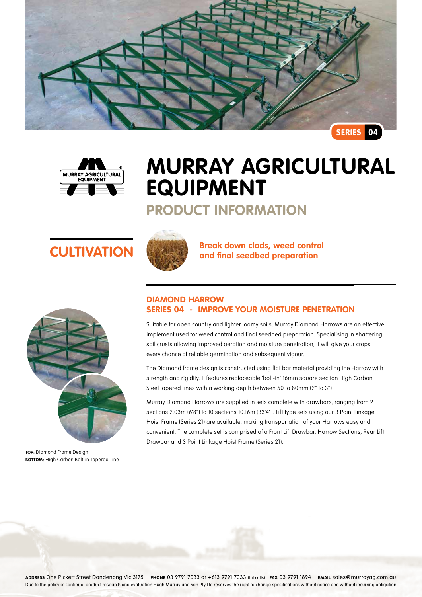



# **Murray Agricultural Equipment**

## **Product Information**





**TOP:** Diamond Frame Design **BOTTOM:** High Carbon Bolt-in Tapered Tine



**CULTIVATION Break down clods, weed control and final seedbed preparation** 

### **Diamond Harrow Series 04 - Improve your moisture penetration**

Suitable for open country and lighter loamy soils, Murray Diamond Harrows are an effective implement used for weed control and final seedbed preparation. Specialising in shattering soil crusts allowing improved aeration and moisture penetration, it will give your crops every chance of reliable germination and subsequent vigour.

The Diamond frame design is constructed using flat bar material providing the Harrow with strength and rigidity. It features replaceable 'bolt-in' 16mm square section High Carbon Steel tapered tines with a working depth between 50 to 80mm (2" to 3").

Murray Diamond Harrows are supplied in sets complete with drawbars, ranging from 2 sections 2.03m (6'8") to 10 sections 10.16m (33'4"). Lift type sets using our 3 Point Linkage Hoist Frame (Series 21) are available, making transportation of your Harrows easy and convenient. The complete set is comprised of a Front Lift Drawbar, Harrow Sections, Rear Lift Drawbar and 3 Point Linkage Hoist Frame (Series 21).

**Address** One Pickett Street Dandenong Vic 3175 **Phone** 03 9791 7033 or +613 9791 7033 (Int calls) **Fax** 03 9791 1894 **Email** sales@murrayag.com.au Due to the policy of continual product research and evaluation Hugh Murray and Son Pty Ltd reserves the right to change specifications without notice and without incurring obligation.